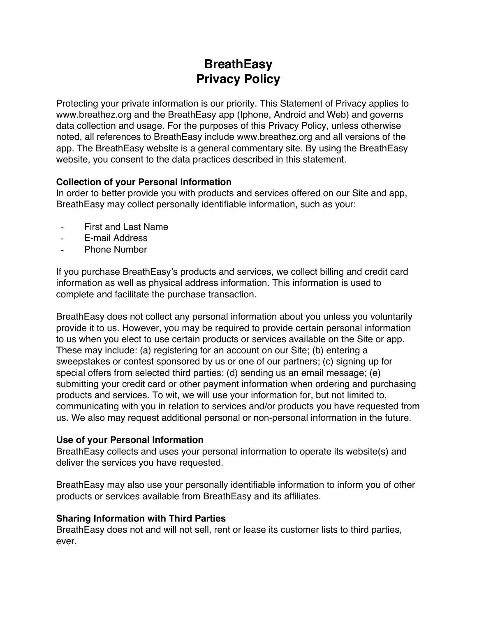# **BreathEasy Privacy Policy**

Protecting your private information is our priority. This Statement of Privacy applies to www.breathez.org and the BreathEasy app (Iphone, Android and Web) and governs data collection and usage. For the purposes of this Privacy Policy, unless otherwise noted, all references to BreathEasy include www.breathez.org and all versions of the app. The BreathEasy website is a general commentary site. By using the BreathEasy website, you consent to the data practices described in this statement.

## **Collection of your Personal Information**

In order to better provide you with products and services offered on our Site and app, BreathEasy may collect personally identifiable information, such as your:

- First and Last Name
- E-mail Address
- Phone Number

If you purchase BreathEasy's products and services, we collect billing and credit card information as well as physical address information. This information is used to complete and facilitate the purchase transaction.

BreathEasy does not collect any personal information about you unless you voluntarily provide it to us. However, you may be required to provide certain personal information to us when you elect to use certain products or services available on the Site or app. These may include: (a) registering for an account on our Site; (b) entering a sweepstakes or contest sponsored by us or one of our partners; (c) signing up for special offers from selected third parties; (d) sending us an email message; (e) submitting your credit card or other payment information when ordering and purchasing products and services. To wit, we will use your information for, but not limited to, communicating with you in relation to services and/or products you have requested from us. We also may request additional personal or non-personal information in the future.

### **Use of your Personal Information**

BreathEasy collects and uses your personal information to operate its website(s) and deliver the services you have requested.

BreathEasy may also use your personally identifiable information to inform you of other products or services available from BreathEasy and its affiliates.

### **Sharing Information with Third Parties**

BreathEasy does not and will not sell, rent or lease its customer lists to third parties, ever.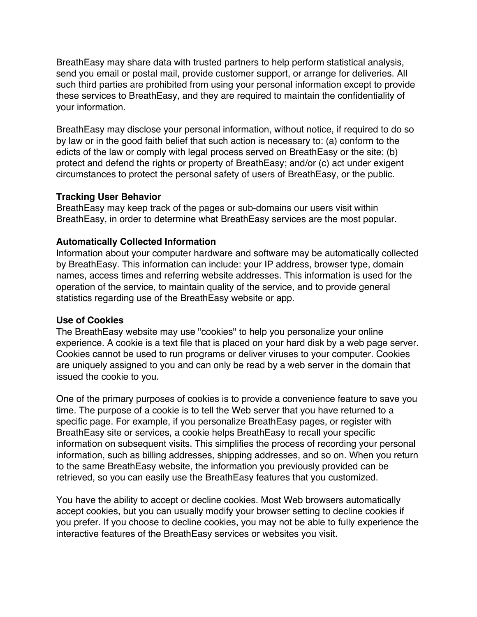BreathEasy may share data with trusted partners to help perform statistical analysis, send you email or postal mail, provide customer support, or arrange for deliveries. All such third parties are prohibited from using your personal information except to provide these services to BreathEasy, and they are required to maintain the confidentiality of your information.

BreathEasy may disclose your personal information, without notice, if required to do so by law or in the good faith belief that such action is necessary to: (a) conform to the edicts of the law or comply with legal process served on BreathEasy or the site; (b) protect and defend the rights or property of BreathEasy; and/or (c) act under exigent circumstances to protect the personal safety of users of BreathEasy, or the public.

### **Tracking User Behavior**

BreathEasy may keep track of the pages or sub-domains our users visit within BreathEasy, in order to determine what BreathEasy services are the most popular.

## **Automatically Collected Information**

Information about your computer hardware and software may be automatically collected by BreathEasy. This information can include: your IP address, browser type, domain names, access times and referring website addresses. This information is used for the operation of the service, to maintain quality of the service, and to provide general statistics regarding use of the BreathEasy website or app.

### **Use of Cookies**

The BreathEasy website may use "cookies" to help you personalize your online experience. A cookie is a text file that is placed on your hard disk by a web page server. Cookies cannot be used to run programs or deliver viruses to your computer. Cookies are uniquely assigned to you and can only be read by a web server in the domain that issued the cookie to you.

One of the primary purposes of cookies is to provide a convenience feature to save you time. The purpose of a cookie is to tell the Web server that you have returned to a specific page. For example, if you personalize BreathEasy pages, or register with BreathEasy site or services, a cookie helps BreathEasy to recall your specific information on subsequent visits. This simplifies the process of recording your personal information, such as billing addresses, shipping addresses, and so on. When you return to the same BreathEasy website, the information you previously provided can be retrieved, so you can easily use the BreathEasy features that you customized.

You have the ability to accept or decline cookies. Most Web browsers automatically accept cookies, but you can usually modify your browser setting to decline cookies if you prefer. If you choose to decline cookies, you may not be able to fully experience the interactive features of the BreathEasy services or websites you visit.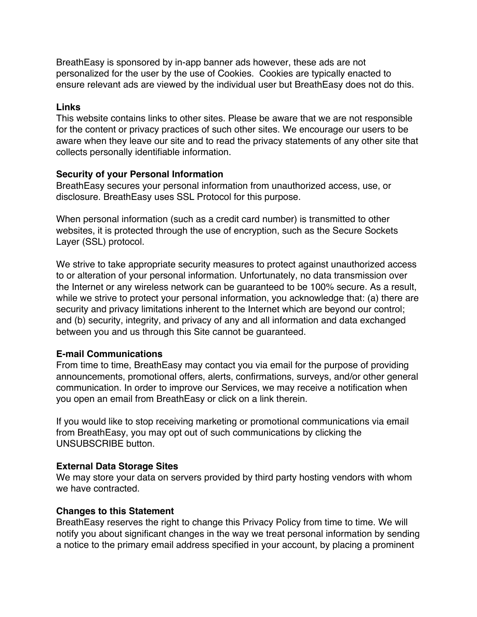BreathEasy is sponsored by in-app banner ads however, these ads are not personalized for the user by the use of Cookies. Cookies are typically enacted to ensure relevant ads are viewed by the individual user but BreathEasy does not do this.

#### **Links**

This website contains links to other sites. Please be aware that we are not responsible for the content or privacy practices of such other sites. We encourage our users to be aware when they leave our site and to read the privacy statements of any other site that collects personally identifiable information.

#### **Security of your Personal Information**

BreathEasy secures your personal information from unauthorized access, use, or disclosure. BreathEasy uses SSL Protocol for this purpose.

When personal information (such as a credit card number) is transmitted to other websites, it is protected through the use of encryption, such as the Secure Sockets Layer (SSL) protocol.

We strive to take appropriate security measures to protect against unauthorized access to or alteration of your personal information. Unfortunately, no data transmission over the Internet or any wireless network can be guaranteed to be 100% secure. As a result, while we strive to protect your personal information, you acknowledge that: (a) there are security and privacy limitations inherent to the Internet which are beyond our control; and (b) security, integrity, and privacy of any and all information and data exchanged between you and us through this Site cannot be guaranteed.

### **E-mail Communications**

From time to time, BreathEasy may contact you via email for the purpose of providing announcements, promotional offers, alerts, confirmations, surveys, and/or other general communication. In order to improve our Services, we may receive a notification when you open an email from BreathEasy or click on a link therein.

If you would like to stop receiving marketing or promotional communications via email from BreathEasy, you may opt out of such communications by clicking the UNSUBSCRIBE button.

### **External Data Storage Sites**

We may store your data on servers provided by third party hosting vendors with whom we have contracted.

### **Changes to this Statement**

BreathEasy reserves the right to change this Privacy Policy from time to time. We will notify you about significant changes in the way we treat personal information by sending a notice to the primary email address specified in your account, by placing a prominent